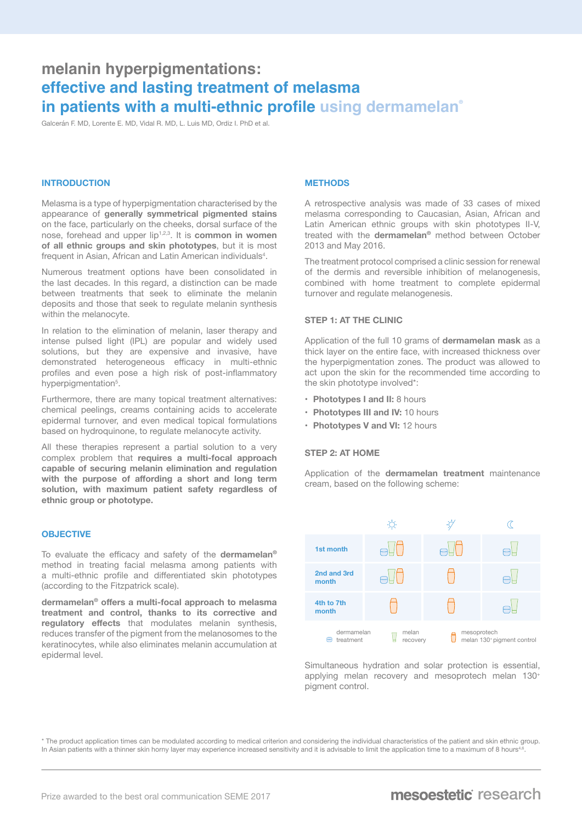## **melanin hyperpigmentations: effective and lasting treatment of melasma in patients with a multi-ethnic profile using dermamelan®**

Galcerán F. MD, Lorente E. MD, Vidal R. MD, L. Luis MD, Ordiz I. PhD et al.

#### **INTRODUCTION**

Melasma is a type of hyperpigmentation characterised by the appearance of **generally symmetrical pigmented stains** on the face, particularly on the cheeks, dorsal surface of the nose, forehead and upper lip1,2,3. It is **common in women of all ethnic groups and skin phototypes**, but it is most frequent in Asian, African and Latin American individuals $^4$ .

Numerous treatment options have been consolidated in the last decades. In this regard, a distinction can be made between treatments that seek to eliminate the melanin deposits and those that seek to regulate melanin synthesis within the melanocyte.

In relation to the elimination of melanin, laser therapy and intense pulsed light (IPL) are popular and widely used solutions, but they are expensive and invasive, have demonstrated heterogeneous efficacy in multi-ethnic profiles and even pose a high risk of post-inflammatory hyperpigmentation<sup>5</sup>.

Furthermore, there are many topical treatment alternatives: chemical peelings, creams containing acids to accelerate epidermal turnover, and even medical topical formulations based on hydroquinone, to regulate melanocyte activity.

All these therapies represent a partial solution to a very complex problem that **requires a multi-focal approach capable of securing melanin elimination and regulation with the purpose of affording a short and long term solution, with maximum patient safety regardless of ethnic group or phototype.**

#### **OBJECTIVE**

To evaluate the efficacy and safety of the **dermamelan®** method in treating facial melasma among patients with a multi-ethnic profile and differentiated skin phototypes (according to the Fitzpatrick scale).

**dermamelan® offers a multi-focal approach to melasma treatment and control, thanks to its corrective and regulatory effects** that modulates melanin synthesis, reduces transfer of the pigment from the melanosomes to the keratinocytes, while also eliminates melanin accumulation at epidermal level.

#### **METHODS**

A retrospective analysis was made of 33 cases of mixed melasma corresponding to Caucasian, Asian, African and Latin American ethnic groups with skin phototypes II-V, treated with the **dermamelan®** method between October 2013 and May 2016.

The treatment protocol comprised a clinic session for renewal of the dermis and reversible inhibition of melanogenesis, combined with home treatment to complete epidermal turnover and regulate melanogenesis.

#### **STEP 1: AT THE CLINIC**

Application of the full 10 grams of **dermamelan mask** as a thick layer on the entire face, with increased thickness over the hyperpigmentation zones. The product was allowed to act upon the skin for the recommended time according to the skin phototype involved\*:

- **• Phototypes I and II:** 8 hours
- **• Phototypes III and IV:** 10 hours
- **• Phototypes V and VI:** 12 hours

#### **STEP 2: AT HOME**

Application of the **dermamelan treatment** maintenance cream, based on the following scheme:



Simultaneous hydration and solar protection is essential, applying melan recovery and mesoprotech melan 130+ pigment control.

\* The product application times can be modulated according to medical criterion and considering the individual characteristics of the patient and skin ethnic group. In Asian patients with a thinner skin horny layer may experience increased sensitivity and it is advisable to limit the application time to a maximum of 8 hours<sup>4,6</sup>.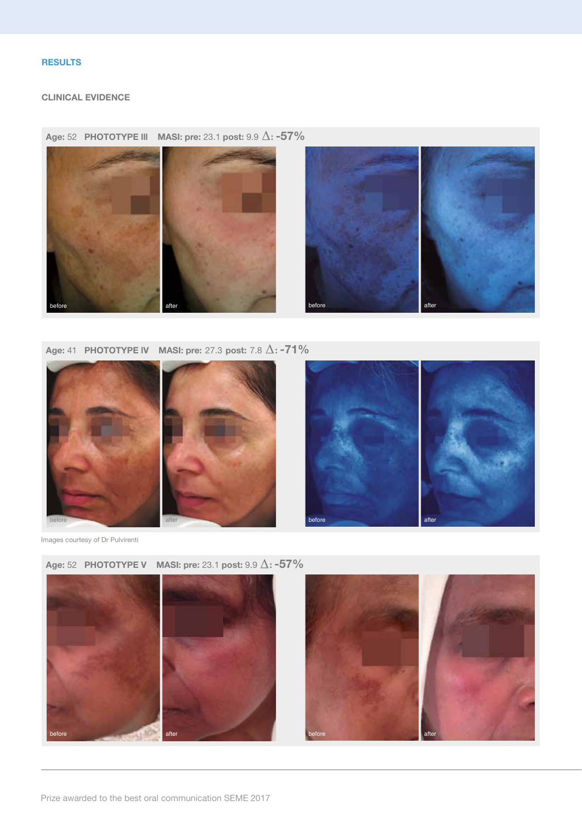### **RESULTS**

#### **CLINICAL EVIDENCE**

**Age:** 52 **PHOTOTYPE III MASI:** pre: 23.1 post: 9.9  $\Delta$ : **-57%** 



**Age:** 41 **PHOTOTYPE IV MASI:** pre: 27.3 post: 7.8  $\Delta$ : **-71%** 





Images courtesy of Dr Pulvirenti

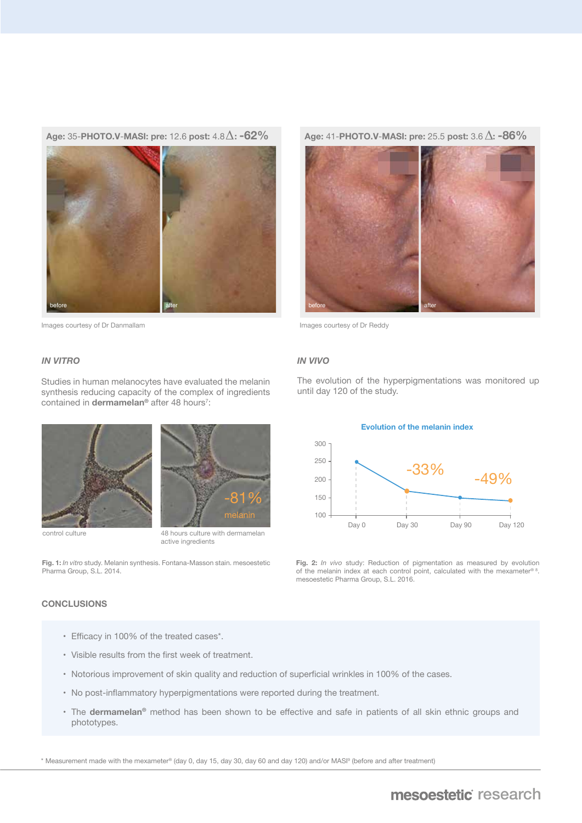

Studies in human melanocytes have evaluated the melanin synthesis reducing capacity of the complex of ingredients

contained in **dermamelan®** after 48 hours<sup>7</sup>:

Images courtesy of Dr Danmallam

**Age:** 41-**PHOTO.V**-**MASI: pre:** 25.5 **post:** 3.6 **: -86%**



Images courtesy of Dr Reddy

#### *IN VIVO*

The evolution of the hyperpigmentations was monitored up until day 120 of the study.



*IN VITRO*



control culture 48 hours culture with dermamelan active ingredients

**Fig. 1:** *In vitro* study. Melanin synthesis. Fontana-Masson stain. mesoestetic Pharma Group, S.L. 2014.

#### **CONCLUSIONS**

- **•** Efficacy in 100% of the treated cases\*.
- Visible results from the first week of treatment.
- Notorious improvement of skin quality and reduction of superficial wrinkles in 100% of the cases.
- No post-inflammatory hyperpigmentations were reported during the treatment.
- The **dermamelan®** method has been shown to be effective and safe in patients of all skin ethnic groups and phototypes.

\* Measurement made with the mexameter® (day 0, day 15, day 30, day 60 and day 120) and/or MASI9 (before and after treatment)





**Fig. 2:** *In vivo* study: Reduction of pigmentation as measured by evolution of the melanin index at each control point, calculated with the mexameter® 8. mesoestetic Pharma Group, S.L. 2016.